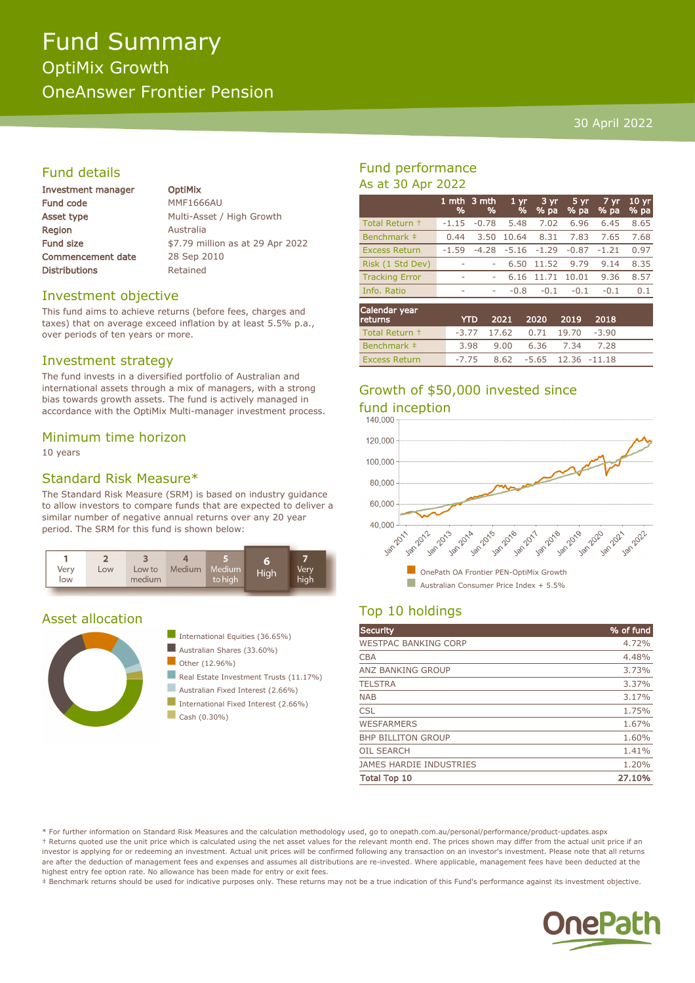# Fund Summary OptiMix Growth OneAnswer Frontier Pension

#### 30 April 2022

### Fund details

| Investment manager       |  |
|--------------------------|--|
| <b>Fund code</b>         |  |
| Asset type               |  |
| Region                   |  |
| <b>Fund size</b>         |  |
| <b>Commencement date</b> |  |
| <b>Distributions</b>     |  |

**OptiMix MMF1666AU** Multi-Asset / High Growth **Australia** \$7.79 million as at 29 Apr 2022 28 Sep 2010 Retained

#### Investment objective

This fund aims to achieve returns (before fees, charges and taxes) that on average exceed inflation by at least 5.5% p.a., over periods of ten years or more.

#### Investment strategy

The fund invests in a diversified portfolio of Australian and international assets through a mix of managers, with a strong bias towards growth assets. The fund is actively managed in accordance with the OptiMix Multi-manager investment process.

#### Minimum time horizon

10 years

#### Standard Risk Measure\*

The Standard Risk Measure (SRM) is based on industry guidance to allow investors to compare funds that are expected to deliver a similar number of negative annual returns over any 20 year period. The SRM for this fund is shown below:



#### Asset allocation





Australian Fixed Interest (2.66%)

- International Fixed Interest (2.66%)
- $\Box$  Cash (0.30%)

### Fund performance As at 30 Apr 2022

|                       | %       | 1 mth 3 mth<br>% | 1 <sub>yr</sub><br>% | 3 yr<br>$%$ pa | 5 yr<br>% pa | 7 yr<br>% pa | 10 <sub>yr</sub><br>% pa |
|-----------------------|---------|------------------|----------------------|----------------|--------------|--------------|--------------------------|
| Total Return +        | $-1.15$ | $-0.78$          | 5.48                 | 7.02           | 6.96         | 6.45         | 8.65                     |
| Benchmark #           | 0.44    | 3.50             | 10.64                | 8.31           | 7.83         | 7.65         | 7.68                     |
| <b>Excess Return</b>  | $-1.59$ | $-4.28$          | $-5.16$              | $-1.29$        | $-0.87$      | $-1.21$      | 0.97                     |
| Risk (1 Std Dev)      | ٠       |                  | 6.50                 | 11.52          | 9.79         | 9.14         | 8.35                     |
| <b>Tracking Error</b> | ٠       | ٠                | 6.16                 | 11.71          | 10.01        | 9.36         | 8.57                     |
| Info. Ratio           | ۰       | ۰                | $-0.8$               | $-0.1$         | $-0.1$       | $-0.1$       | 0.1                      |
| Calendar vear         |         |                  |                      |                |              |              |                          |

| Calendar year<br>returns | YTD. | 2021 2020 2019 2018                 |  |  |
|--------------------------|------|-------------------------------------|--|--|
| Total Return +           |      | $-3.77$ 17.62 0.71 19.70 $-3.90$    |  |  |
| Benchmark #              | 3.98 | 9.00 6.36 7.34 7.28                 |  |  |
| <b>Excess Return</b>     |      | $-7.75$ 8.62 $-5.65$ 12.36 $-11.18$ |  |  |

# Growth of \$50,000 invested since fund inception<br>140.000



## Top 10 holdings

| <b>Security</b>                | % of fund |
|--------------------------------|-----------|
| <b>WESTPAC BANKING CORP</b>    | 4.72%     |
| <b>CBA</b>                     | 4.48%     |
| ANZ BANKING GROUP              | 3.73%     |
| <b>TELSTRA</b>                 | 3.37%     |
| <b>NAB</b>                     | 3.17%     |
| <b>CSL</b>                     | 1.75%     |
| <b>WESFARMERS</b>              | 1.67%     |
| <b>BHP BILLITON GROUP</b>      | 1.60%     |
| <b>OIL SEARCH</b>              | 1.41%     |
| <b>JAMES HARDIE INDUSTRIES</b> | 1.20%     |
| <b>Total Top 10</b>            | 27.10%    |

\* For further information on Standard Risk Measures and the calculation methodology used, go to onepath.com.au/personal/performance/product-updates.aspx † Returns quoted use the unit price which is calculated using the net asset values for the relevant month end. The prices shown may differ from the actual unit price if an investor is applying for or redeeming an investment. Actual unit prices will be confirmed following any transaction on an investor's investment. Please note that all returns are after the deduction of management fees and expenses and assumes all distributions are re-invested. Where applicable, management fees have been deducted at the highest entry fee option rate. No allowance has been made for entry or exit fees.

‡ Benchmark returns should be used for indicative purposes only. These returns may not be a true indication of this Fund's performance against its investment objective.